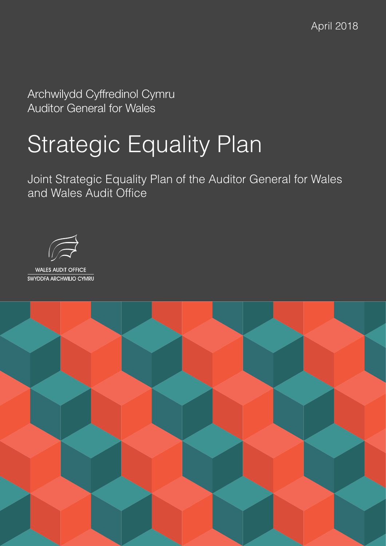April 2018

Archwilydd Cyffredinol Cymru Auditor General for Wales

# Strategic Equality Plan

Joint Strategic Equality Plan of the Auditor General for Wales and Wales Audit Office



**WALES AUDIT OFFICE** SWYDDFA ARCHWILIO CYMRU

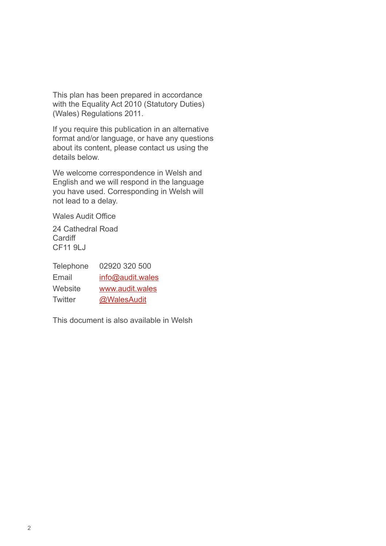This plan has been prepared in accordance with the Equality Act 2010 (Statutory Duties) (Wales) Regulations 2011.

If you require this publication in an alternative format and/or language, or have any questions about its content, please contact us using the details below.

We welcome correspondence in Welsh and English and we will respond in the language you have used. Corresponding in Welsh will not lead to a delay.

Wales Audit Office

24 Cathedral Road **Cardiff** CF11 9LJ

| Telephone | 02920 320 500    |
|-----------|------------------|
| Email     | info@audit.wales |
| Website   | www.audit.wales  |
| Twitter   | @WalesAudit      |

This document is also available in Welsh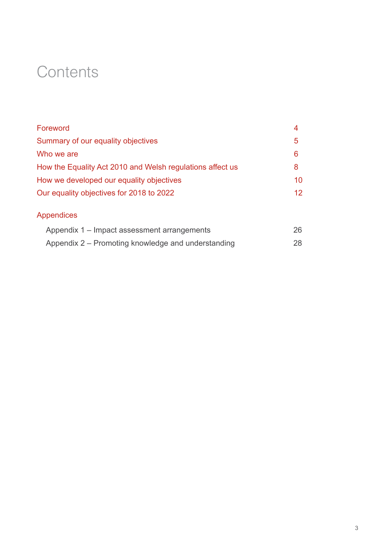# **Contents**

| Foreword                                                  | 4                 |
|-----------------------------------------------------------|-------------------|
| Summary of our equality objectives                        | 5                 |
| Who we are                                                | 6                 |
| How the Equality Act 2010 and Welsh regulations affect us | 8                 |
| How we developed our equality objectives                  | 10                |
| Our equality objectives for 2018 to 2022                  | $12 \overline{ }$ |
| Appendices                                                |                   |
| Appendix 1 – Impact assessment arrangements               | 26                |
| Appendix 2 – Promoting knowledge and understanding        | 28                |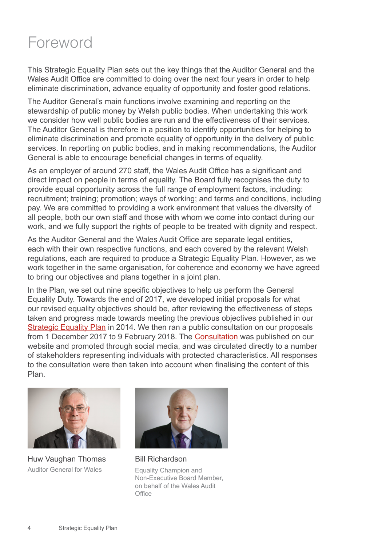### <span id="page-3-0"></span>Foreword

This Strategic Equality Plan sets out the key things that the Auditor General and the Wales Audit Office are committed to doing over the next four years in order to help eliminate discrimination, advance equality of opportunity and foster good relations.

The Auditor General's main functions involve examining and reporting on the stewardship of public money by Welsh public bodies. When undertaking this work we consider how well public bodies are run and the effectiveness of their services. The Auditor General is therefore in a position to identify opportunities for helping to eliminate discrimination and promote equality of opportunity in the delivery of public services. In reporting on public bodies, and in making recommendations, the Auditor General is able to encourage beneficial changes in terms of equality.

As an employer of around 270 staff, the Wales Audit Office has a significant and direct impact on people in terms of equality. The Board fully recognises the duty to provide equal opportunity across the full range of employment factors, including: recruitment; training; promotion; ways of working; and terms and conditions, including pay. We are committed to providing a work environment that values the diversity of all people, both our own staff and those with whom we come into contact during our work, and we fully support the rights of people to be treated with dignity and respect.

As the Auditor General and the Wales Audit Office are separate legal entities, each with their own respective functions, and each covered by the relevant Welsh regulations, each are required to produce a Strategic Equality Plan. However, as we work together in the same organisation, for coherence and economy we have agreed to bring our objectives and plans together in a joint plan.

In the Plan, we set out nine specific objectives to help us perform the General Equality Duty. Towards the end of 2017, we developed initial proposals for what our revised equality objectives should be, after reviewing the effectiveness of steps taken and progress made towards meeting the previous objectives published in our [Strategic Equality Plan](http://www.audit.wales/publication/joint-strategic-equality-plan) in 2014. We then ran a public consultation on our proposals from 1 December 2017 to 9 February 2018. The [Consultation](https://audit.wales/sites/default/files/download_documents/equality-consultation-2017-english-new.pdf) was published on our website and promoted through social media, and was circulated directly to a number of stakeholders representing individuals with protected characteristics. All responses to the consultation were then taken into account when finalising the content of this Plan.



Huw Vaughan Thomas Auditor General for Wales



Bill Richardson

Equality Champion and Non-Executive Board Member, on behalf of the Wales Audit **Office**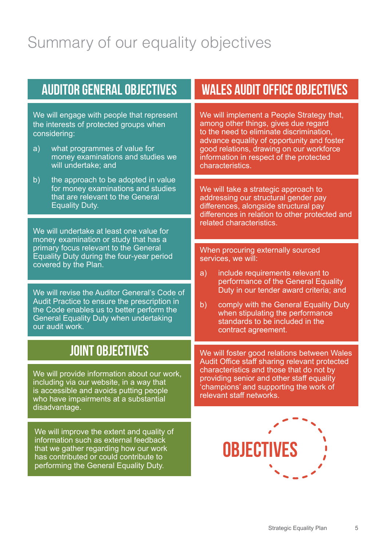# <span id="page-4-0"></span>Summary of our equality objectives

We will engage with people that represent the interests of protected groups when considering:

- a) what programmes of value for money examinations and studies we will undertake; and
- b) the approach to be adopted in value for money examinations and studies that are relevant to the General Equality Duty.

We will undertake at least one value for money examination or study that has a primary focus relevant to the General Equality Duty during the four-year period covered by the Plan.

We will revise the Auditor General's Code of Audit Practice to ensure the prescription in the Code enables us to better perform the General Equality Duty when undertaking our audit work.

### **JOINT OBJECTIVES**

We will provide information about our work. including via our website, in a way that is accessible and avoids putting people who have impairments at a substantial disadvantage.

We will improve the extent and quality of information such as external feedback that we gather regarding how our work has contributed or could contribute to performing the General Equality Duty.

### **AUDITOR GENERAL OBJECTIVES WALES AUDIT OFFICE OBJECTIVES**

We will implement a People Strategy that, among other things, gives due regard to the need to eliminate discrimination, advance equality of opportunity and foster good relations, drawing on our workforce information in respect of the protected characteristics.

We will take a strategic approach to addressing our structural gender pay differences, alongside structural pay differences in relation to other protected and related characteristics.

When procuring externally sourced services, we will:

- a) include requirements relevant to performance of the General Equality Duty in our tender award criteria; and
- b) comply with the General Equality Duty when stipulating the performance standards to be included in the contract agreement.

We will foster good relations between Wales Audit Office staff sharing relevant protected characteristics and those that do not by providing senior and other staff equality 'champions' and supporting the work of relevant staff networks.

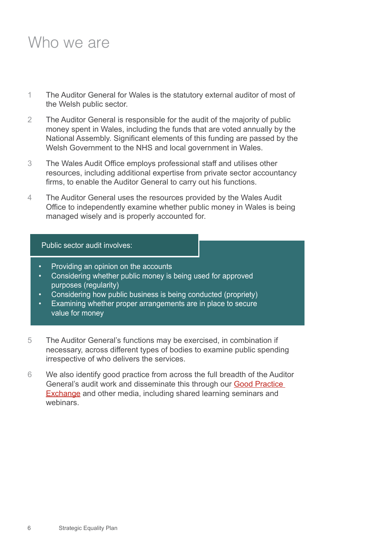### <span id="page-5-0"></span>Who we are

- 1 The Auditor General for Wales is the statutory external auditor of most of the Welsh public sector.
- 2 The Auditor General is responsible for the audit of the majority of public money spent in Wales, including the funds that are voted annually by the National Assembly. Significant elements of this funding are passed by the Welsh Government to the NHS and local government in Wales.
- 3 The Wales Audit Office employs professional staff and utilises other resources, including additional expertise from private sector accountancy firms, to enable the Auditor General to carry out his functions.
- 4 The Auditor General uses the resources provided by the Wales Audit Office to independently examine whether public money in Wales is being managed wisely and is properly accounted for.

#### Public sector audit involves:

- Providing an opinion on the accounts
- Considering whether public money is being used for approved purposes (regularity)
- Considering how public business is being conducted (propriety)
- Examining whether proper arrangements are in place to secure value for money
- 5 The Auditor General's functions may be exercised, in combination if necessary, across different types of bodies to examine public spending irrespective of who delivers the services.
- 6 We also identify good practice from across the full breadth of the Auditor General's audit work and disseminate this through our **Good Practice** [Exchange](http://www.audit.wales/good-practice) and other media, including shared learning seminars and webinars.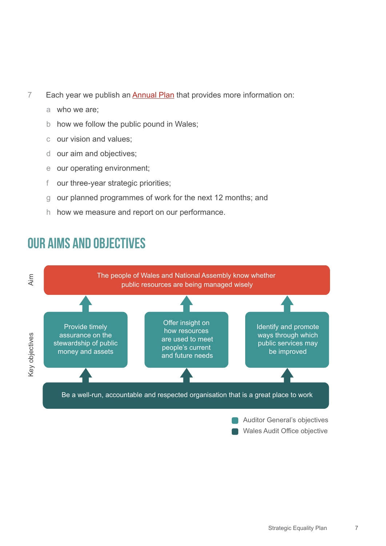- 7 Each year we publish an **Annual Plan** that provides more information on:
	- a who we are;
	- b how we follow the public pound in Wales;
	- c our vision and values;
	- d our aim and objectives;
	- e our operating environment;
	- f our three-year strategic priorities;
	- g our planned programmes of work for the next 12 months; and
	- h how we measure and report on our performance.

### **OUR AIMS AND OBJECTIVES**

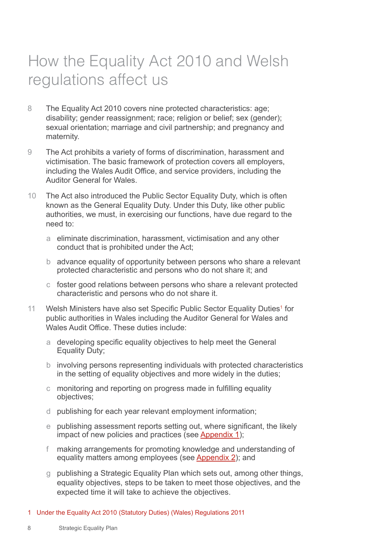# <span id="page-7-0"></span>How the Equality Act 2010 and Welsh regulations affect us

- 8 The Equality Act 2010 covers nine protected characteristics: age; disability; gender reassignment; race; religion or belief; sex (gender); sexual orientation; marriage and civil partnership; and pregnancy and maternity.
- 9 The Act prohibits a variety of forms of discrimination, harassment and victimisation. The basic framework of protection covers all employers, including the Wales Audit Office, and service providers, including the Auditor General for Wales.
- 10 The Act also introduced the Public Sector Equality Duty, which is often known as the General Equality Duty. Under this Duty, like other public authorities, we must, in exercising our functions, have due regard to the need to:
	- a eliminate discrimination, harassment, victimisation and any other conduct that is prohibited under the Act;
	- b advance equality of opportunity between persons who share a relevant protected characteristic and persons who do not share it; and
	- c foster good relations between persons who share a relevant protected characteristic and persons who do not share it.
- 11 Welsh Ministers have also set Specific Public Sector Equality Duties<sup>1</sup> for public authorities in Wales including the Auditor General for Wales and Wales Audit Office. These duties include:
	- a developing specific equality objectives to help meet the General Equality Duty;
	- b involving persons representing individuals with protected characteristics in the setting of equality objectives and more widely in the duties;
	- c monitoring and reporting on progress made in fulfilling equality objectives;
	- d publishing for each year relevant employment information;
	- e publishing assessment reports setting out, where significant, the likely impact of new policies and practices (see [Appendix 1](#page-25-0));
	- f making arrangements for promoting knowledge and understanding of equality matters among employees (see [Appendix 2](#page-27-0)); and
	- g publishing a Strategic Equality Plan which sets out, among other things, equality objectives, steps to be taken to meet those objectives, and the expected time it will take to achieve the objectives.
- 1 Under the Equality Act 2010 (Statutory Duties) (Wales) Regulations 2011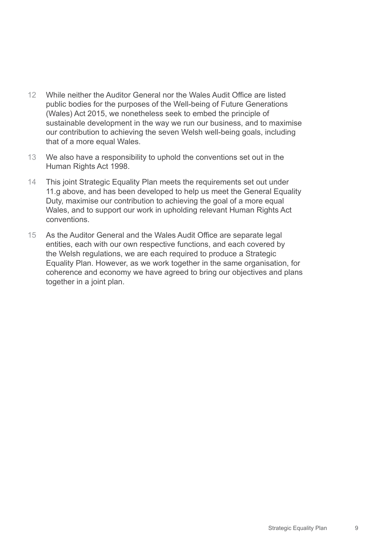- 12 While neither the Auditor General nor the Wales Audit Office are listed public bodies for the purposes of the Well-being of Future Generations (Wales) Act 2015, we nonetheless seek to embed the principle of sustainable development in the way we run our business, and to maximise our contribution to achieving the seven Welsh well-being goals, including that of a more equal Wales.
- 13 We also have a responsibility to uphold the conventions set out in the Human Rights Act 1998.
- 14 This joint Strategic Equality Plan meets the requirements set out under 11.g above, and has been developed to help us meet the General Equality Duty, maximise our contribution to achieving the goal of a more equal Wales, and to support our work in upholding relevant Human Rights Act conventions.
- 15 As the Auditor General and the Wales Audit Office are separate legal entities, each with our own respective functions, and each covered by the Welsh regulations, we are each required to produce a Strategic Equality Plan. However, as we work together in the same organisation, for coherence and economy we have agreed to bring our objectives and plans together in a joint plan.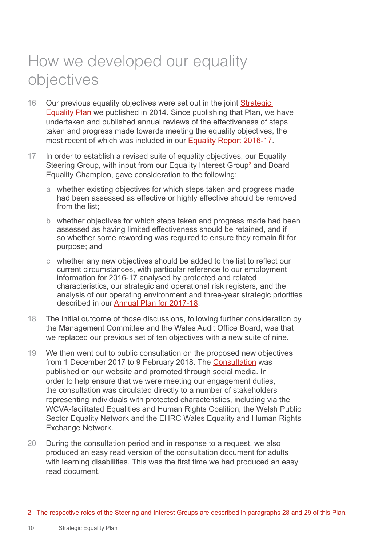# <span id="page-9-0"></span>How we developed our equality objectives

- 16 Our previous equality objectives were set out in the joint [Strategic](http://www.audit.wales/system/files/publications/WAO_Equality_Plan_Final_English_2014.pdf)  [Equality Plan](http://www.audit.wales/system/files/publications/WAO_Equality_Plan_Final_English_2014.pdf) we published in 2014. Since publishing that Plan, we have undertaken and published annual reviews of the effectiveness of steps taken and progress made towards meeting the equality objectives, the most recent of which was included in our [Equality Report 2016-17.](http://www.audit.wales/publication/equality-report-201617)
- 17 In order to establish a revised suite of equality objectives, our Equality Steering Group, with input from our Equality Interest Group<sup>2</sup> and Board Equality Champion, gave consideration to the following:
	- a whether existing objectives for which steps taken and progress made had been assessed as effective or highly effective should be removed from the list;
	- b whether objectives for which steps taken and progress made had been assessed as having limited effectiveness should be retained, and if so whether some rewording was required to ensure they remain fit for purpose; and
	- c whether any new objectives should be added to the list to reflect our current circumstances, with particular reference to our employment information for 2016-17 analysed by protected and related characteristics, our strategic and operational risk registers, and the analysis of our operating environment and three-year strategic priorities described in our [Annual Plan for 2017-18](http://www.audit.wales/publication/annual-plan-2017-18).
- 18 The initial outcome of those discussions, following further consideration by the Management Committee and the Wales Audit Office Board, was that we replaced our previous set of ten objectives with a new suite of nine.
- 19 We then went out to public consultation on the proposed new objectives from 1 December 2017 to 9 February 2018. The [Consultation](https://audit.wales/sites/default/files/download_documents/equality-consultation-2017-english-new.pdf) was published on our website and promoted through social media. In order to help ensure that we were meeting our engagement duties, the consultation was circulated directly to a number of stakeholders representing individuals with protected characteristics, including via the WCVA-facilitated Equalities and Human Rights Coalition, the Welsh Public Sector Equality Network and the EHRC Wales Equality and Human Rights Exchange Network.
- 20 During the consultation period and in response to a request, we also produced an easy read version of the consultation document for adults with learning disabilities. This was the first time we had produced an easy read document.

2 The respective roles of the Steering and Interest Groups are described in paragraphs 28 and 29 of this Plan.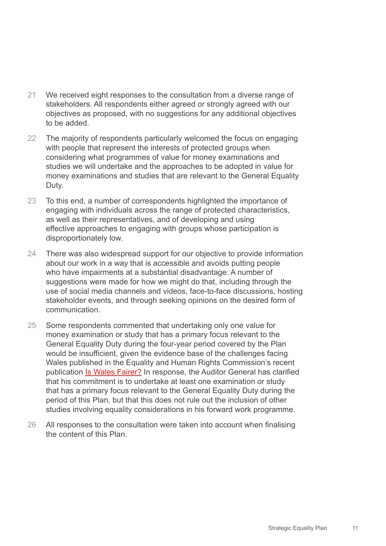- 21 We received eight responses to the consultation from a diverse range of stakeholders. All respondents either agreed or strongly agreed with our objectives as proposed, with no suggestions for any additional objectives to be added.
- 22 The majority of respondents particularly welcomed the focus on engaging with people that represent the interests of protected groups when considering what programmes of value for money examinations and studies we will undertake and the approaches to be adopted in value for money examinations and studies that are relevant to the General Equality Duty.
- 23 To this end, a number of correspondents highlighted the importance of engaging with individuals across the range of protected characteristics, as well as their representatives, and of developing and using effective approaches to engaging with groups whose participation is disproportionately low.
- 24 There was also widespread support for our objective to provide information about our work in a way that is accessible and avoids putting people who have impairments at a substantial disadvantage. A number of suggestions were made for how we might do that, including through the use of social media channels and videos, face-to-face discussions, hosting stakeholder events, and through seeking opinions on the desired form of communication.
- 25 Some respondents commented that undertaking only one value for money examination or study that has a primary focus relevant to the General Equality Duty during the four-year period covered by the Plan would be insufficient, given the evidence base of the challenges facing Wales published in the Equality and Human Rights Commission's recent publication [Is Wales Fairer?](https://www.equalityhumanrights.com/en/wales-fairer) In response, the Auditor General has clarified that his commitment is to undertake at least one examination or study that has a primary focus relevant to the General Equality Duty during the period of this Plan, but that this does not rule out the inclusion of other studies involving equality considerations in his forward work programme.
- 26 All responses to the consultation were taken into account when finalising the content of this Plan.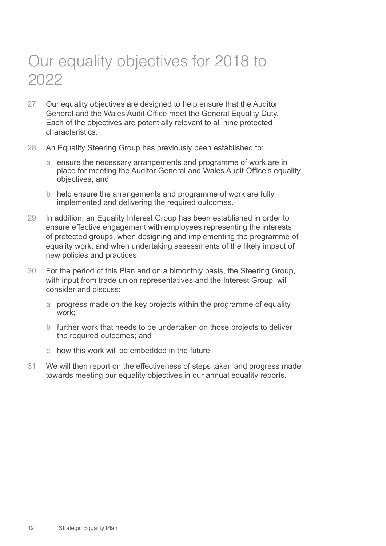# <span id="page-11-0"></span>Our equality objectives for 2018 to 2022

- 27 Our equality objectives are designed to help ensure that the Auditor General and the Wales Audit Office meet the General Equality Duty. Each of the objectives are potentially relevant to all nine protected characteristics.
- 28 An Equality Steering Group has previously been established to:
	- a ensure the necessary arrangements and programme of work are in place for meeting the Auditor General and Wales Audit Office's equality objectives; and
	- b help ensure the arrangements and programme of work are fully implemented and delivering the required outcomes.
- 29 In addition, an Equality Interest Group has been established in order to ensure effective engagement with employees representing the interests of protected groups, when designing and implementing the programme of equality work, and when undertaking assessments of the likely impact of new policies and practices.
- 30 For the period of this Plan and on a bimonthly basis, the Steering Group, with input from trade union representatives and the Interest Group, will consider and discuss:
	- a progress made on the key projects within the programme of equality work;
	- b further work that needs to be undertaken on those projects to deliver the required outcomes; and
	- c how this work will be embedded in the future.
- 31 We will then report on the effectiveness of steps taken and progress made towards meeting our equality objectives in our annual equality reports.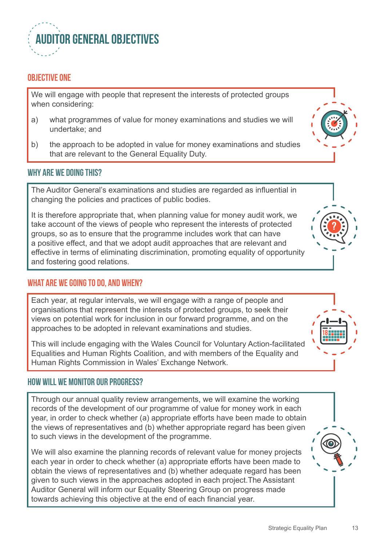

#### **OBJECTIVE ONE**

We will engage with people that represent the interests of protected groups when considering:

- a) what programmes of value for money examinations and studies we will undertake; and
- b) the approach to be adopted in value for money examinations and studies that are relevant to the General Equality Duty.

#### **Why are we doing this?**

The Auditor General's examinations and studies are regarded as influential in changing the policies and practices of public bodies.

It is therefore appropriate that, when planning value for money audit work, we take account of the views of people who represent the interests of protected groups, so as to ensure that the programme includes work that can have a positive effect, and that we adopt audit approaches that are relevant and effective in terms of eliminating discrimination, promoting equality of opportunity and fostering good relations.

#### **What are we going to do, and when?**

Each year, at regular intervals, we will engage with a range of people and organisations that represent the interests of protected groups, to seek their views on potential work for inclusion in our forward programme, and on the approaches to be adopted in relevant examinations and studies.

This will include engaging with the Wales Council for Voluntary Action-facilitated Equalities and Human Rights Coalition, and with members of the Equality and Human Rights Commission in Wales' Exchange Network.

#### **How will we monitor our progress?**

Through our annual quality review arrangements, we will examine the working records of the development of our programme of value for money work in each year, in order to check whether (a) appropriate efforts have been made to obtain the views of representatives and (b) whether appropriate regard has been given to such views in the development of the programme.

We will also examine the planning records of relevant value for money projects each year in order to check whether (a) appropriate efforts have been made to obtain the views of representatives and (b) whether adequate regard has been given to such views in the approaches adopted in each project.The Assistant Auditor General will inform our Equality Steering Group on progress made towards achieving this objective at the end of each financial year.

**18**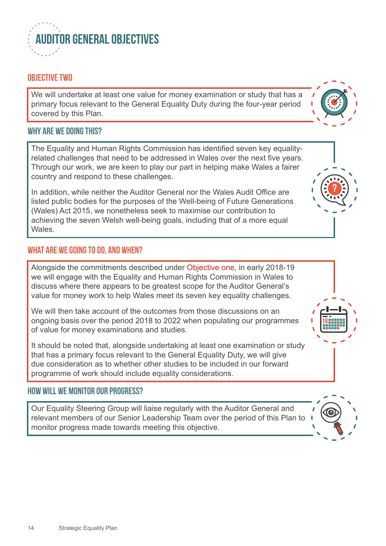

### **OBJECTIVE TWO**

We will undertake at least one value for money examination or study that has a primary focus relevant to the General Equality Duty during the four-year period covered by this Plan.

#### **Why are we doing this?**

The Equality and Human Rights Commission has identified seven key equalityrelated challenges that need to be addressed in Wales over the next five years. Through our work, we are keen to play our part in helping make Wales a fairer country and respond to these challenges.

In addition, while neither the Auditor General nor the Wales Audit Office are listed public bodies for the purposes of the Well-being of Future Generations (Wales) Act 2015, we nonetheless seek to maximise our contribution to achieving the seven Welsh well-being goals, including that of a more equal Wales.

#### **What are we going to do, and when?**

Alongside the commitments described under Objective one, in early 2018-19 we will engage with the Equality and Human Rights Commission in Wales to discuss where there appears to be greatest scope for the Auditor General's value for money work to help Wales meet its seven key equality challenges.

We will then take account of the outcomes from those discussions on an ongoing basis over the period 2018 to 2022 when populating our programmes of value for money examinations and studies.

It should be noted that, alongside undertaking at least one examination or study that has a primary focus relevant to the General Equality Duty, we will give due consideration as to whether other studies to be included in our forward programme of work should include equality considerations.

#### **How will we monitor our progress?**

Our Equality Steering Group will liaise regularly with the Auditor General and relevant members of our Senior Leadership Team over the period of this Plan to monitor progress made towards meeting this objective.



**18**

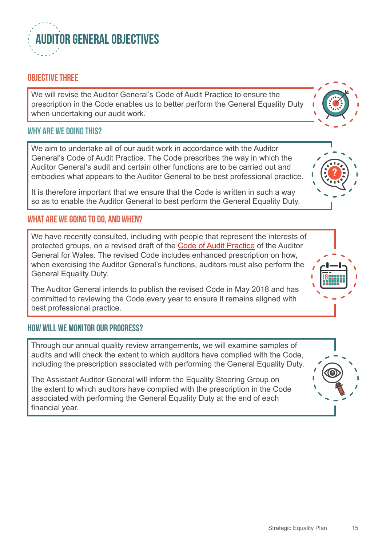

### **OBJECTIVE THREE**

We will revise the Auditor General's Code of Audit Practice to ensure the prescription in the Code enables us to better perform the General Equality Duty when undertaking our audit work.

#### **Why are we doing this?**

We aim to undertake all of our audit work in accordance with the Auditor General's Code of Audit Practice. The Code prescribes the way in which the Auditor General's audit and certain other functions are to be carried out and embodies what appears to the Auditor General to be best professional practice.

It is therefore important that we ensure that the Code is written in such a way so as to enable the Auditor General to best perform the General Equality Duty.

#### **What are we going to do, and when?**

We have recently consulted, including with people that represent the interests of protected groups, on a revised draft of the [Code of Audit Practice](http://www.audit.wales/sites/default/files/download_documents/Code-of-Audit-Practice-of-the-Auditor-General-for-Wales-2018.pdf) of the Auditor General for Wales. The revised Code includes enhanced prescription on how, when exercising the Auditor General's functions, auditors must also perform the General Equality Duty.

The Auditor General intends to publish the revised Code in May 2018 and has committed to reviewing the Code every year to ensure it remains aligned with best professional practice.

#### **How will we monitor our progress?**

Through our annual quality review arrangements, we will examine samples of audits and will check the extent to which auditors have complied with the Code, including the prescription associated with performing the General Equality Duty.

The Assistant Auditor General will inform the Equality Steering Group on the extent to which auditors have complied with the prescription in the Code associated with performing the General Equality Duty at the end of each financial year.





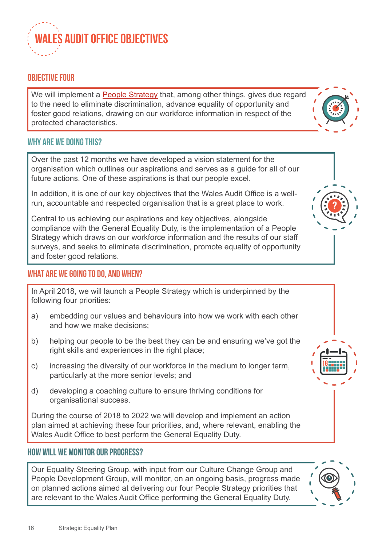

### **OBJECTIVE four**

We will implement a **[People Strategy](http://www.audit.wales/publication/people-strategy-2018-21)** that, among other things, gives due regard to the need to eliminate discrimination, advance equality of opportunity and foster good relations, drawing on our workforce information in respect of the protected characteristics.



Over the past 12 months we have developed a vision statement for the organisation which outlines our aspirations and serves as a guide for all of our future actions. One of these aspirations is that our people excel.

In addition, it is one of our key objectives that the Wales Audit Office is a wellrun, accountable and respected organisation that is a great place to work.

Central to us achieving our aspirations and key objectives, alongside compliance with the General Equality Duty, is the implementation of a People Strategy which draws on our workforce information and the results of our staff surveys, and seeks to eliminate discrimination, promote equality of opportunity and foster good relations.

### **What are we going to do, and when?**

In April 2018, we will launch a People Strategy which is underpinned by the following four priorities:

- a) embedding our values and behaviours into how we work with each other and how we make decisions;
- b) helping our people to be the best they can be and ensuring we've got the right skills and experiences in the right place;
- c) increasing the diversity of our workforce in the medium to longer term, particularly at the more senior levels; and
- d) developing a coaching culture to ensure thriving conditions for organisational success.

During the course of 2018 to 2022 we will develop and implement an action plan aimed at achieving these four priorities, and, where relevant, enabling the Wales Audit Office to best perform the General Equality Duty.

#### **How will we monitor our progress?**

Our Equality Steering Group, with input from our Culture Change Group and People Development Group, will monitor, on an ongoing basis, progress made on planned actions aimed at delivering our four People Strategy priorities that are relevant to the Wales Audit Office performing the General Equality Duty.





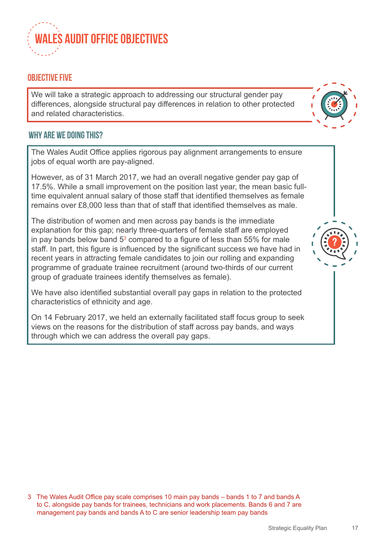

### **OBJECTIVE five**

We will take a strategic approach to addressing our structural gender pay differences, alongside structural pay differences in relation to other protected and related characteristics.



**?**

#### **Why are we doing this?**

The Wales Audit Office applies rigorous pay alignment arrangements to ensure jobs of equal worth are pay-aligned.

However, as of 31 March 2017, we had an overall negative gender pay gap of 17.5%. While a small improvement on the position last year, the mean basic fulltime equivalent annual salary of those staff that identified themselves as female remains over £8,000 less than that of staff that identified themselves as male.

The distribution of women and men across pay bands is the immediate explanation for this gap; nearly three-quarters of female staff are employed in pay bands below band  $5^3$  compared to a figure of less than  $55\%$  for male staff. In part, this figure is influenced by the significant success we have had in recent years in attracting female candidates to join our rolling and expanding programme of graduate trainee recruitment (around two-thirds of our current group of graduate trainees identify themselves as female).

We have also identified substantial overall pay gaps in relation to the protected characteristics of ethnicity and age.

On 14 February 2017, we held an externally facilitated staff focus group to seek views on the reasons for the distribution of staff across pay bands, and ways through which we can address the overall pay gaps.

3 The Wales Audit Office pay scale comprises 10 main pay bands – bands 1 to 7 and bands A to C, alongside pay bands for trainees, technicians and work placements. Bands 6 and 7 are management pay bands and bands A to C are senior leadership team pay bands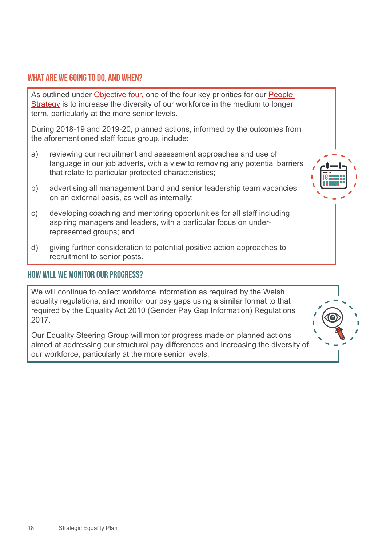### **What are we going to do, and when?**

As outlined under Objective four, one of the four key priorities for our **People** [Strategy](http://www.audit.wales/publication/people-strategy-2018-21) is to increase the diversity of our workforce in the medium to longer term, particularly at the more senior levels.

During 2018-19 and 2019-20, planned actions, informed by the outcomes from the aforementioned staff focus group, include:

- a) reviewing our recruitment and assessment approaches and use of language in our job adverts, with a view to removing any potential barriers that relate to particular protected characteristics;
- b) advertising all management band and senior leadership team vacancies on an external basis, as well as internally;
- c) developing coaching and mentoring opportunities for all staff including aspiring managers and leaders, with a particular focus on underrepresented groups; and
- d) giving further consideration to potential positive action approaches to recruitment to senior posts.

#### **How will we monitor our progress?**

We will continue to collect workforce information as required by the Welsh equality regulations, and monitor our pay gaps using a similar format to that required by the Equality Act 2010 (Gender Pay Gap Information) Regulations 2017.

Our Equality Steering Group will monitor progress made on planned actions aimed at addressing our structural pay differences and increasing the diversity of our workforce, particularly at the more senior levels.



**18**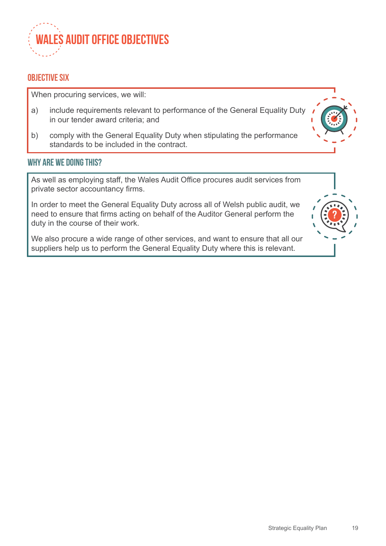

#### **OBJECTIVE six**

When procuring services, we will:

- a) include requirements relevant to performance of the General Equality Duty in our tender award criteria; and
- b) comply with the General Equality Duty when stipulating the performance standards to be included in the contract.

#### **Why are we doing this?**

As well as employing staff, the Wales Audit Office procures audit services from private sector accountancy firms.

In order to meet the General Equality Duty across all of Welsh public audit, we need to ensure that firms acting on behalf of the Auditor General perform the duty in the course of their work.

We also procure a wide range of other services, and want to ensure that all our suppliers help us to perform the General Equality Duty where this is relevant.

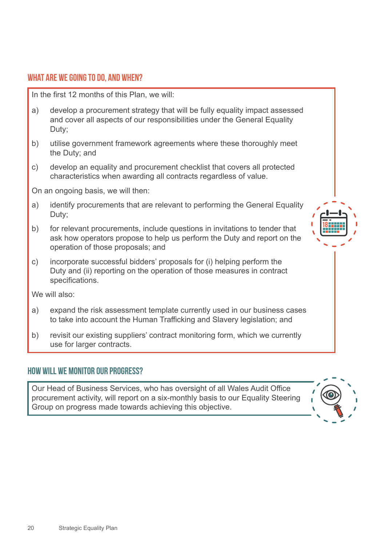#### **What are we going to do, and when?**

In the first 12 months of this Plan, we will:

- a) develop a procurement strategy that will be fully equality impact assessed and cover all aspects of our responsibilities under the General Equality Duty;
- b) utilise government framework agreements where these thoroughly meet the Duty; and
- c) develop an equality and procurement checklist that covers all protected characteristics when awarding all contracts regardless of value.

On an ongoing basis, we will then:

- a) identify procurements that are relevant to performing the General Equality Duty;
- b) for relevant procurements, include questions in invitations to tender that ask how operators propose to help us perform the Duty and report on the operation of those proposals; and
- c) incorporate successful bidders' proposals for (i) helping perform the Duty and (ii) reporting on the operation of those measures in contract specifications.

We will also:

- a) expand the risk assessment template currently used in our business cases to take into account the Human Trafficking and Slavery legislation; and
- b) revisit our existing suppliers' contract monitoring form, which we currently use for larger contracts.

#### **How will we monitor our progress?**

Our Head of Business Services, who has oversight of all Wales Audit Office procurement activity, will report on a six-monthly basis to our Equality Steering Group on progress made towards achieving this objective.



**18**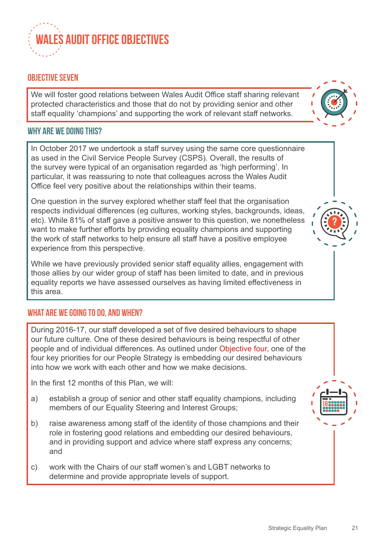

### **OBJECTIVE seven**

We will foster good relations between Wales Audit Office staff sharing relevant protected characteristics and those that do not by providing senior and other staff equality 'champions' and supporting the work of relevant staff networks.

#### **Why are we doing this?**

In October 2017 we undertook a staff survey using the same core questionnaire as used in the Civil Service People Survey (CSPS). Overall, the results of the survey were typical of an organisation regarded as 'high performing'. In particular, it was reassuring to note that colleagues across the Wales Audit Office feel very positive about the relationships within their teams.

One question in the survey explored whether staff feel that the organisation respects individual differences (eg cultures, working styles, backgrounds, ideas, etc). While 81% of staff gave a positive answer to this question, we nonetheless want to make further efforts by providing equality champions and supporting the work of staff networks to help ensure all staff have a positive employee experience from this perspective.

While we have previously provided senior staff equality allies, engagement with those allies by our wider group of staff has been limited to date, and in previous equality reports we have assessed ourselves as having limited effectiveness in this area.

#### **What are we going to do, and when?**

During 2016-17, our staff developed a set of five desired behaviours to shape our future culture. One of these desired behaviours is being respectful of other people and of individual differences. As outlined under Objective four, one of the four key priorities for our People Strategy is embedding our desired behaviours into how we work with each other and how we make decisions.

In the first 12 months of this Plan, we will:

- a) establish a group of senior and other staff equality champions, including members of our Equality Steering and Interest Groups;
- b) raise awareness among staff of the identity of those champions and their role in fostering good relations and embedding our desired behaviours, and in providing support and advice where staff express any concerns; and
- c) work with the Chairs of our staff women's and LGBT networks to determine and provide appropriate levels of support.

**18**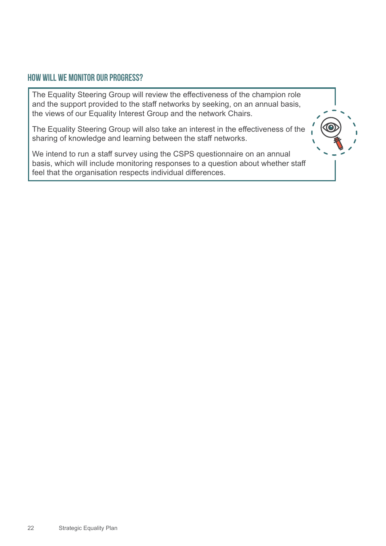#### **How will we monitor our progress?**

The Equality Steering Group will review the effectiveness of the champion role and the support provided to the staff networks by seeking, on an annual basis, the views of our Equality Interest Group and the network Chairs.

The Equality Steering Group will also take an interest in the effectiveness of the sharing of knowledge and learning between the staff networks.

We intend to run a staff survey using the CSPS questionnaire on an annual basis, which will include monitoring responses to a question about whether staff feel that the organisation respects individual differences.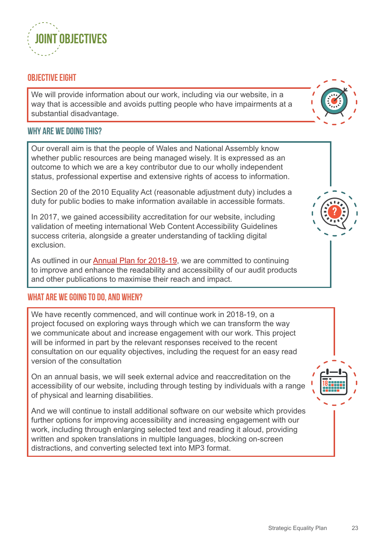

#### **OBJECTIVE EIGHT**

We will provide information about our work, including via our website, in a way that is accessible and avoids putting people who have impairments at a substantial disadvantage.



Our overall aim is that the people of Wales and National Assembly know whether public resources are being managed wisely. It is expressed as an outcome to which we are a key contributor due to our wholly independent status, professional expertise and extensive rights of access to information.

Section 20 of the 2010 Equality Act (reasonable adjustment duty) includes a duty for public bodies to make information available in accessible formats.

In 2017, we gained accessibility accreditation for our website, including validation of meeting international Web Content Accessibility Guidelines success criteria, alongside a greater understanding of tackling digital exclusion.

As outlined in our **[Annual Plan for 2018-19](http://www.audit.wales/publication/annual-plan-201819)**, we are committed to continuing to improve and enhance the readability and accessibility of our audit products and other publications to maximise their reach and impact.

#### **What are we going to do, and when?**

We have recently commenced, and will continue work in 2018-19, on a project focused on exploring ways through which we can transform the way we communicate about and increase engagement with our work. This project will be informed in part by the relevant responses received to the recent consultation on our equality objectives, including the request for an easy read version of the consultation

On an annual basis, we will seek external advice and reaccreditation on the accessibility of our website, including through testing by individuals with a range of physical and learning disabilities.

And we will continue to install additional software on our website which provides further options for improving accessibility and increasing engagement with our work, including through enlarging selected text and reading it aloud, providing written and spoken translations in multiple languages, blocking on-screen distractions, and converting selected text into MP3 format.



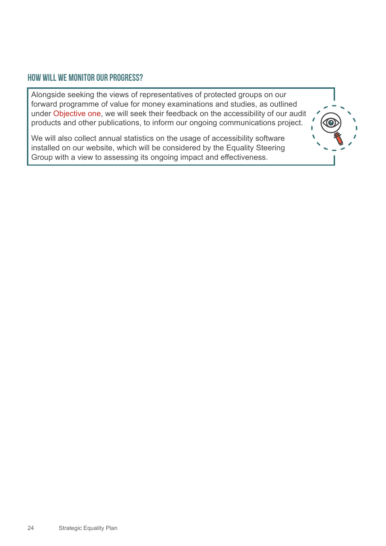#### **How will we monitor our progress?**

Alongside seeking the views of representatives of protected groups on our forward programme of value for money examinations and studies, as outlined under Objective one, we will seek their feedback on the accessibility of our audit products and other publications, to inform our ongoing communications project.

We will also collect annual statistics on the usage of accessibility software installed on our website, which will be considered by the Equality Steering Group with a view to assessing its ongoing impact and effectiveness.

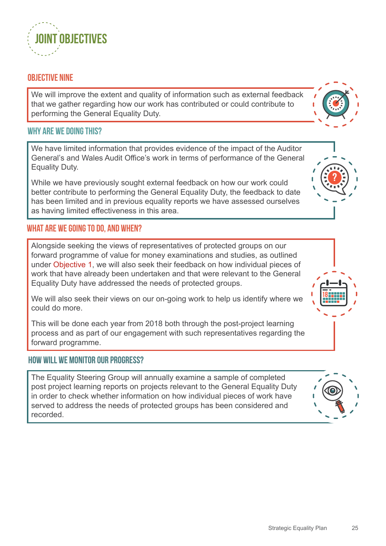### **OBJECTIVE NINE**

We will improve the extent and quality of information such as external feedback that we gather regarding how our work has contributed or could contribute to performing the General Equality Duty.

#### **Why are we doing this?**

We have limited information that provides evidence of the impact of the Auditor General's and Wales Audit Office's work in terms of performance of the General Equality Duty.

While we have previously sought external feedback on how our work could better contribute to performing the General Equality Duty, the feedback to date has been limited and in previous equality reports we have assessed ourselves as having limited effectiveness in this area.

#### **What are we going to do, and when?**

Alongside seeking the views of representatives of protected groups on our forward programme of value for money examinations and studies, as outlined under Objective 1, we will also seek their feedback on how individual pieces of work that have already been undertaken and that were relevant to the General Equality Duty have addressed the needs of protected groups.

We will also seek their views on our on-going work to help us identify where we could do more.

This will be done each year from 2018 both through the post-project learning process and as part of our engagement with such representatives regarding the forward programme.

#### **How will we monitor our progress?**

The Equality Steering Group will annually examine a sample of completed post project learning reports on projects relevant to the General Equality Duty in order to check whether information on how individual pieces of work have served to address the needs of protected groups has been considered and recorded.







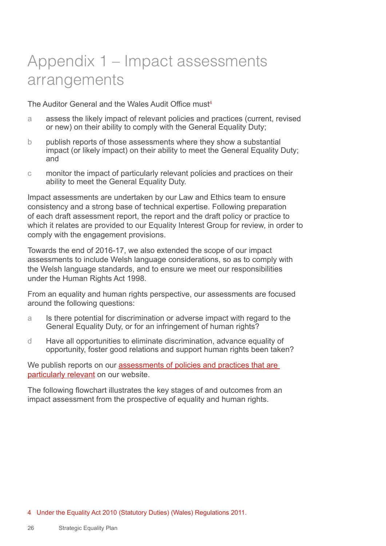# <span id="page-25-0"></span>Appendix 1 – Impact assessments arrangements

The Auditor General and the Wales Audit Office must<sup>4</sup>

- a assess the likely impact of relevant policies and practices (current, revised or new) on their ability to comply with the General Equality Duty;
- b publish reports of those assessments where they show a substantial impact (or likely impact) on their ability to meet the General Equality Duty; and
- c monitor the impact of particularly relevant policies and practices on their ability to meet the General Equality Duty.

Impact assessments are undertaken by our Law and Ethics team to ensure consistency and a strong base of technical expertise. Following preparation of each draft assessment report, the report and the draft policy or practice to which it relates are provided to our Equality Interest Group for review, in order to comply with the engagement provisions.

Towards the end of 2016-17, we also extended the scope of our impact assessments to include Welsh language considerations, so as to comply with the Welsh language standards, and to ensure we meet our responsibilities under the Human Rights Act 1998.

From an equality and human rights perspective, our assessments are focused around the following questions:

- a Is there potential for discrimination or adverse impact with regard to the General Equality Duty, or for an infringement of human rights?
- d Have all opportunities to eliminate discrimination, advance equality of opportunity, foster good relations and support human rights been taken?

We publish reports on our assessments of policies and practices that are [particularly relevant](http://www.audit.wales/equality-human-rights) on our website.

The following flowchart illustrates the key stages of and outcomes from an impact assessment from the prospective of equality and human rights.

#### 4 Under the Equality Act 2010 (Statutory Duties) (Wales) Regulations 2011.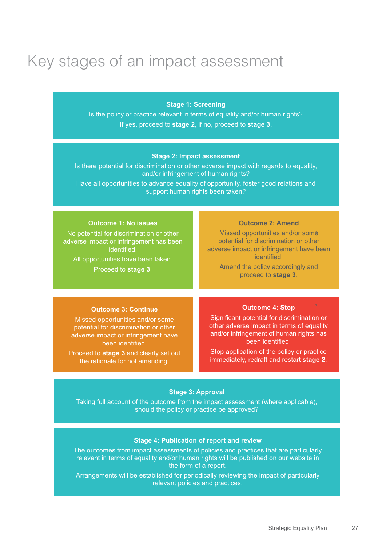# Key stages of an impact assessment

#### **Stage 1: Screening**

Is the policy or practice relevant in terms of equality and/or human rights? If yes, proceed to **stage 2**, if no, proceed to **stage 3**.

#### **Stage 2: Impact assessment**

Is there potential for discrimination or other adverse impact with regards to equality, and/or infringement of human rights?

Have all opportunities to advance equality of opportunity, foster good relations and support human rights been taken?

| <b>Outcome 1: No issues</b>                                                                                                                                     | <b>Outcome 2: Amend</b>                                                                                                                                                                         |
|-----------------------------------------------------------------------------------------------------------------------------------------------------------------|-------------------------------------------------------------------------------------------------------------------------------------------------------------------------------------------------|
| No potential for discrimination or other<br>adverse impact or infringement has been<br>identified.<br>All opportunities have been taken.<br>Proceed to stage 3. | Missed opportunities and/or some<br>potential for discrimination or other<br>adverse impact or infringement have been<br>identified.<br>Amend the policy accordingly and<br>proceed to stage 3. |
|                                                                                                                                                                 |                                                                                                                                                                                                 |
| <b>Outcome 3: Continue</b>                                                                                                                                      | <b>Outcome 4: Stop</b>                                                                                                                                                                          |
| Missed opportunities and/or some<br>potential for discrimination or other<br>adverse impact or infringement have<br>been identified.                            | Significant potential for discrimination or<br>other adverse impact in terms of equality<br>and/or infringement of human rights has<br>been identified.                                         |
| Proceed to stage 3 and clearly set out<br>the rationale for not amending                                                                                        | Stop application of the policy or practice<br>immediately, redraft and restart stage 2.                                                                                                         |

#### **Stage 3: Approval**

the rationale for not amending.

Taking full account of the outcome from the impact assessment (where applicable), should the policy or practice be approved?

#### **Stage 4: Publication of report and review**

The outcomes from impact assessments of policies and practices that are particularly relevant in terms of equality and/or human rights will be published on our website in the form of a report.

Arrangements will be established for periodically reviewing the impact of particularly relevant policies and practices.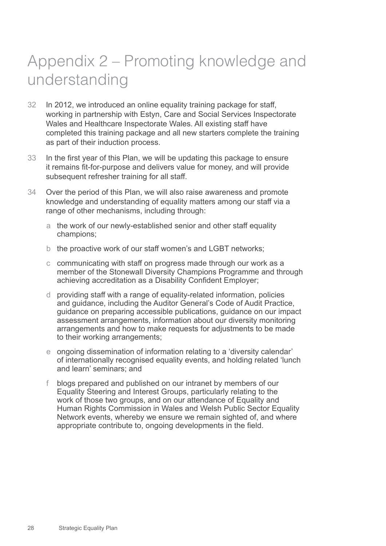# <span id="page-27-0"></span>Appendix 2 – Promoting knowledge and understanding

- 32 In 2012, we introduced an online equality training package for staff, working in partnership with Estyn, Care and Social Services Inspectorate Wales and Healthcare Inspectorate Wales. All existing staff have completed this training package and all new starters complete the training as part of their induction process.
- 33 In the first year of this Plan, we will be updating this package to ensure it remains fit-for-purpose and delivers value for money, and will provide subsequent refresher training for all staff.
- 34 Over the period of this Plan, we will also raise awareness and promote knowledge and understanding of equality matters among our staff via a range of other mechanisms, including through:
	- a the work of our newly-established senior and other staff equality champions;
	- b the proactive work of our staff women's and LGBT networks;
	- c communicating with staff on progress made through our work as a member of the Stonewall Diversity Champions Programme and through achieving accreditation as a Disability Confident Employer;
	- d providing staff with a range of equality-related information, policies and guidance, including the Auditor General's Code of Audit Practice, guidance on preparing accessible publications, guidance on our impact assessment arrangements, information about our diversity monitoring arrangements and how to make requests for adjustments to be made to their working arrangements;
	- e ongoing dissemination of information relating to a 'diversity calendar' of internationally recognised equality events, and holding related 'lunch and learn' seminars; and
	- f blogs prepared and published on our intranet by members of our Equality Steering and Interest Groups, particularly relating to the work of those two groups, and on our attendance of Equality and Human Rights Commission in Wales and Welsh Public Sector Equality Network events, whereby we ensure we remain sighted of, and where appropriate contribute to, ongoing developments in the field.